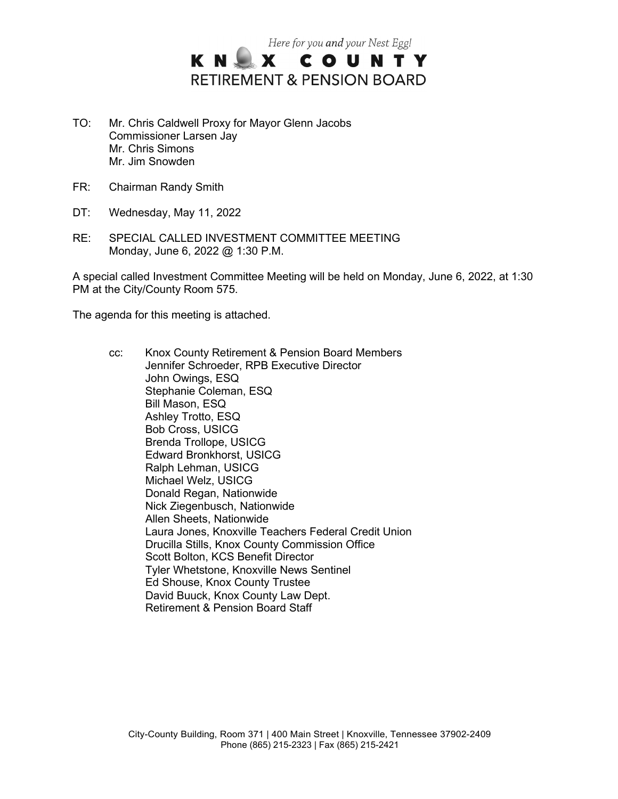

- TO: Mr. Chris Caldwell Proxy for Mayor Glenn Jacobs Commissioner Larsen Jay Mr. Chris Simons Mr. Jim Snowden
- FR: Chairman Randy Smith
- DT: Wednesday, May 11, 2022
- RE: SPECIAL CALLED INVESTMENT COMMITTEE MEETING Monday, June 6, 2022 @ 1:30 P.M.

A special called Investment Committee Meeting will be held on Monday, June 6, 2022, at 1:30 PM at the City/County Room 575.

The agenda for this meeting is attached.

cc: Knox County Retirement & Pension Board Members Jennifer Schroeder, RPB Executive Director John Owings, ESQ Stephanie Coleman, ESQ Bill Mason, ESQ Ashley Trotto, ESQ Bob Cross, USICG Brenda Trollope, USICG Edward Bronkhorst, USICG Ralph Lehman, USICG Michael Welz, USICG Donald Regan, Nationwide Nick Ziegenbusch, Nationwide Allen Sheets, Nationwide Laura Jones, Knoxville Teachers Federal Credit Union Drucilla Stills, Knox County Commission Office Scott Bolton, KCS Benefit Director Tyler Whetstone, Knoxville News Sentinel Ed Shouse, Knox County Trustee David Buuck, Knox County Law Dept. Retirement & Pension Board Staff